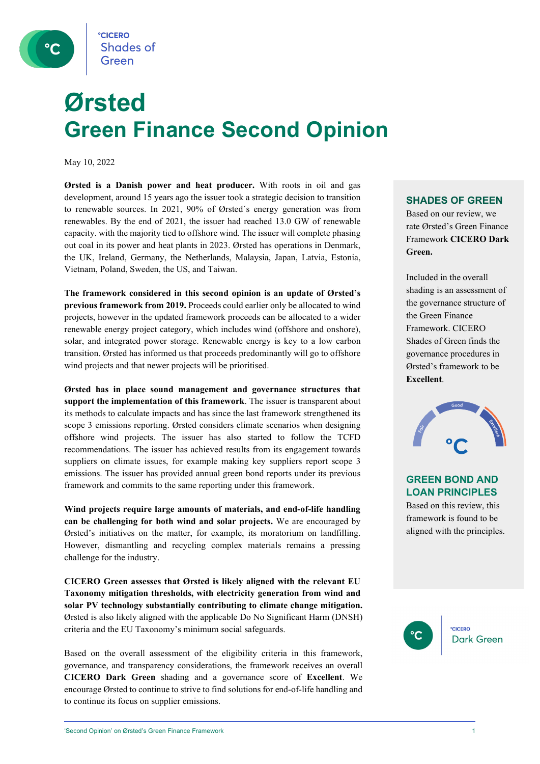

## **Ørsted Green Finance Second Opinion**

May 10, 2022

**Ørsted is a Danish power and heat producer.** With roots in oil and gas development, around 15 years ago the issuer took a strategic decision to transition to renewable sources. In 2021, 90% of Ørsted´s energy generation was from renewables. By the end of 2021, the issuer had reached 13.0 GW of renewable capacity. with the majority tied to offshore wind. The issuer will complete phasing out coal in its power and heat plants in 2023. Ørsted has operations in Denmark, the UK, Ireland, Germany, the Netherlands, Malaysia, Japan, Latvia, Estonia, Vietnam, Poland, Sweden, the US, and Taiwan.

**The framework considered in this second opinion is an update of Ørsted's previous framework from 2019.** Proceeds could earlier only be allocated to wind projects, however in the updated framework proceeds can be allocated to a wider renewable energy project category, which includes wind (offshore and onshore), solar, and integrated power storage. Renewable energy is key to a low carbon transition. Ørsted has informed us that proceeds predominantly will go to offshore wind projects and that newer projects will be prioritised.

**Ørsted has in place sound management and governance structures that support the implementation of this framework**. The issuer is transparent about its methods to calculate impacts and has since the last framework strengthened its scope 3 emissions reporting. Ørsted considers climate scenarios when designing offshore wind projects. The issuer has also started to follow the TCFD recommendations. The issuer has achieved results from its engagement towards suppliers on climate issues, for example making key suppliers report scope 3 emissions. The issuer has provided annual green bond reports under its previous framework and commits to the same reporting under this framework.

**Wind projects require large amounts of materials, and end-of-life handling can be challenging for both wind and solar projects.** We are encouraged by Ørsted's initiatives on the matter, for example, its moratorium on landfilling. However, dismantling and recycling complex materials remains a pressing challenge for the industry.

**CICERO Green assesses that Ørsted is likely aligned with the relevant EU Taxonomy mitigation thresholds, with electricity generation from wind and solar PV technology substantially contributing to climate change mitigation.**  Ørsted is also likely aligned with the applicable Do No Significant Harm (DNSH) criteria and the EU Taxonomy's minimum social safeguards.

Based on the overall assessment of the eligibility criteria in this framework, governance, and transparency considerations, the framework receives an overall **CICERO Dark Green** shading and a governance score of **Excellent**. We encourage Ørsted to continue to strive to find solutions for end-of-life handling and to continue its focus on supplier emissions.

#### **SHADES OF GREEN**

Based on our review, we rate Ørsted's Green Finance Framework **CICERO Dark Green.** 

Included in the overall shading is an assessment of the governance structure of the Green Finance Framework. CICERO Shades of Green finds the governance procedures in Ørsted's framework to be **Excellent**.



#### **GREEN BOND AND LOAN PRINCIPLES**

Based on this review, this framework is found to be aligned with the principles.

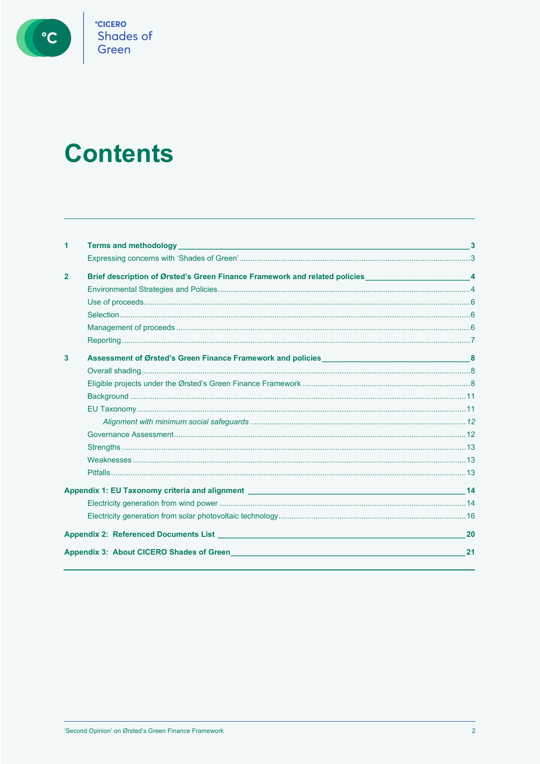

**CICERO**<br>Shades of<br>Green

## **Contents**

| 1                       |                                                                                                                       |    |
|-------------------------|-----------------------------------------------------------------------------------------------------------------------|----|
|                         |                                                                                                                       |    |
| $\overline{2}$          | Brief description of Ørsted's Green Finance Framework and related policies _________________________4                 |    |
|                         |                                                                                                                       |    |
|                         |                                                                                                                       |    |
|                         |                                                                                                                       |    |
|                         |                                                                                                                       |    |
|                         |                                                                                                                       |    |
| $\overline{\mathbf{3}}$ |                                                                                                                       |    |
|                         |                                                                                                                       |    |
|                         |                                                                                                                       |    |
|                         |                                                                                                                       |    |
|                         |                                                                                                                       |    |
|                         |                                                                                                                       |    |
|                         |                                                                                                                       |    |
|                         |                                                                                                                       |    |
|                         |                                                                                                                       |    |
|                         |                                                                                                                       |    |
|                         |                                                                                                                       |    |
|                         |                                                                                                                       |    |
|                         |                                                                                                                       |    |
|                         | Appendix 2: Referenced Documents List <b>Constitution of the Constitution of the Constitution</b> of the Constitution | 20 |
|                         | Appendix 3: About CICERO Shades of Green <b>Access 2018</b> 2019 12:30 Appendix 3: About CICERO Shades of Green       | 21 |
|                         |                                                                                                                       |    |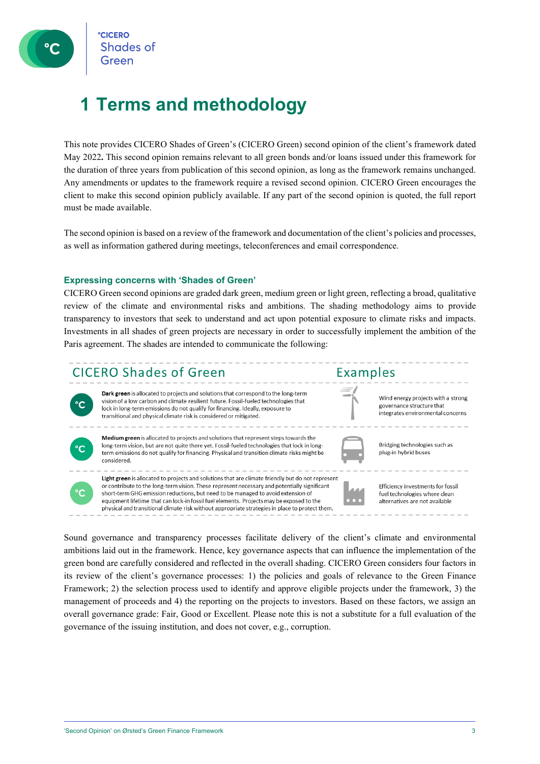

### <span id="page-2-0"></span>**1 Terms and methodology**

This note provides CICERO Shades of Green's (CICERO Green) second opinion of the client's framework dated May 2022**.** This second opinion remains relevant to all green bonds and/or loans issued under this framework for the duration of three years from publication of this second opinion, as long as the framework remains unchanged. Any amendments or updates to the framework require a revised second opinion. CICERO Green encourages the client to make this second opinion publicly available. If any part of the second opinion is quoted, the full report must be made available.

<span id="page-2-1"></span>The second opinion is based on a review of the framework and documentation of the client's policies and processes, as well as information gathered during meetings, teleconferences and email correspondence.

#### **Expressing concerns with 'Shades of Green'**

CICERO Green second opinions are graded dark green, medium green or light green, reflecting a broad, qualitative review of the climate and environmental risks and ambitions. The shading methodology aims to provide transparency to investors that seek to understand and act upon potential exposure to climate risks and impacts. Investments in all shades of green projects are necessary in order to successfully implement the ambition of the Paris agreement. The shades are intended to communicate the following:



Sound governance and transparency processes facilitate delivery of the client's climate and environmental ambitions laid out in the framework. Hence, key governance aspects that can influence the implementation of the green bond are carefully considered and reflected in the overall shading. CICERO Green considers four factors in its review of the client's governance processes: 1) the policies and goals of relevance to the Green Finance Framework; 2) the selection process used to identify and approve eligible projects under the framework, 3) the management of proceeds and 4) the reporting on the projects to investors. Based on these factors, we assign an overall governance grade: Fair, Good or Excellent. Please note this is not a substitute for a full evaluation of the governance of the issuing institution, and does not cover, e.g., corruption.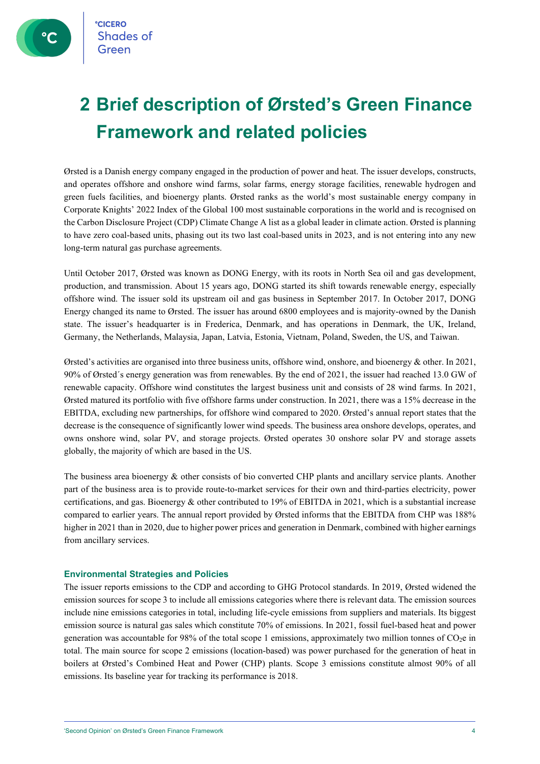**CICERO Shades of** 

## <span id="page-3-0"></span>**2 Brief description of Ørsted's Green Finance Framework and related policies**

Ørsted is a Danish energy company engaged in the production of power and heat. The issuer develops, constructs, and operates offshore and onshore wind farms, solar farms, energy storage facilities, renewable hydrogen and green fuels facilities, and bioenergy plants. Ørsted ranks as the world's most sustainable energy company in Corporate Knights' 2022 Index of the Global 100 most sustainable corporations in the world and is recognised on the Carbon Disclosure Project (CDP) Climate Change A list as a global leader in climate action. Ørsted is planning to have zero coal-based units, phasing out its two last coal-based units in 2023, and is not entering into any new long-term natural gas purchase agreements.

Until October 2017, Ørsted was known as DONG Energy, with its roots in North Sea oil and gas development, production, and transmission. About 15 years ago, DONG started its shift towards renewable energy, especially offshore wind. The issuer sold its upstream oil and gas business in September 2017. In October 2017, DONG Energy changed its name to Ørsted. The issuer has around 6800 employees and is majority-owned by the Danish state. The issuer's headquarter is in Frederica, Denmark, and has operations in Denmark, the UK, Ireland, Germany, the Netherlands, Malaysia, Japan, Latvia, Estonia, Vietnam, Poland, Sweden, the US, and Taiwan.

Ørsted's activities are organised into three business units, offshore wind, onshore, and bioenergy & other. In 2021, 90% of Ørsted´s energy generation was from renewables. By the end of 2021, the issuer had reached 13.0 GW of renewable capacity. Offshore wind constitutes the largest business unit and consists of 28 wind farms. In 2021, Ørsted matured its portfolio with five offshore farms under construction. In 2021, there was a 15% decrease in the EBITDA, excluding new partnerships, for offshore wind compared to 2020. Ørsted's annual report states that the decrease is the consequence of significantly lower wind speeds. The business area onshore develops, operates, and owns onshore wind, solar PV, and storage projects. Ørsted operates 30 onshore solar PV and storage assets globally, the majority of which are based in the US.

The business area bioenergy & other consists of bio converted CHP plants and ancillary service plants. Another part of the business area is to provide route-to-market services for their own and third-parties electricity, power certifications, and gas. Bioenergy & other contributed to 19% of EBITDA in 2021, which is a substantial increase compared to earlier years. The annual report provided by Ørsted informs that the EBITDA from CHP was 188% higher in 2021 than in 2020, due to higher power prices and generation in Denmark, combined with higher earnings from ancillary services.

#### <span id="page-3-1"></span>**Environmental Strategies and Policies**

The issuer reports emissions to the CDP and according to GHG Protocol standards. In 2019, Ørsted widened the emission sources for scope 3 to include all emissions categories where there is relevant data. The emission sources include nine emissions categories in total, including life-cycle emissions from suppliers and materials. Its biggest emission source is natural gas sales which constitute 70% of emissions. In 2021, fossil fuel-based heat and power generation was accountable for 98% of the total scope 1 emissions, approximately two million tonnes of CO2e in total. The main source for scope 2 emissions (location-based) was power purchased for the generation of heat in boilers at Ørsted's Combined Heat and Power (CHP) plants. Scope 3 emissions constitute almost 90% of all emissions. Its baseline year for tracking its performance is 2018.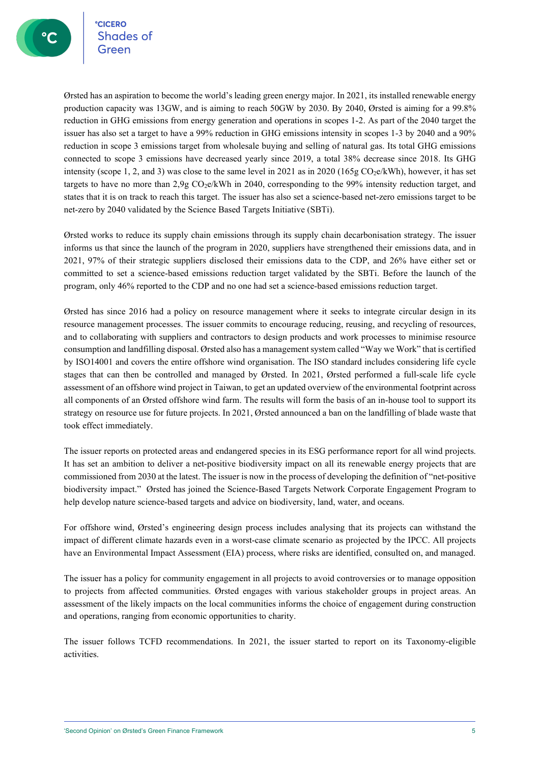°cicero<br>Shades of

Ørsted has an aspiration to become the world's leading green energy major. In 2021, its installed renewable energy production capacity was 13GW, and is aiming to reach 50GW by 2030. By 2040, Ørsted is aiming for a 99.8% reduction in GHG emissions from energy generation and operations in scopes 1-2. As part of the 2040 target the issuer has also set a target to have a 99% reduction in GHG emissions intensity in scopes 1-3 by 2040 and a 90% reduction in scope 3 emissions target from wholesale buying and selling of natural gas. Its total GHG emissions connected to scope 3 emissions have decreased yearly since 2019, a total 38% decrease since 2018. Its GHG intensity (scope 1, 2, and 3) was close to the same level in 2021 as in 2020 (165g  $CO<sub>2</sub>e/kWh$ ), however, it has set targets to have no more than 2,9g CO2e/kWh in 2040, corresponding to the 99% intensity reduction target, and states that it is on track to reach this target. The issuer has also set a science-based net-zero emissions target to be net-zero by 2040 validated by the Science Based Targets Initiative (SBTi).

Ørsted works to reduce its supply chain emissions through its supply chain decarbonisation strategy. The issuer informs us that since the launch of the program in 2020, suppliers have strengthened their emissions data, and in 2021, 97% of their strategic suppliers disclosed their emissions data to the CDP, and 26% have either set or committed to set a science-based emissions reduction target validated by the SBTi. Before the launch of the program, only 46% reported to the CDP and no one had set a science-based emissions reduction target.

Ørsted has since 2016 had a policy on resource management where it seeks to integrate circular design in its resource management processes. The issuer commits to encourage reducing, reusing, and recycling of resources, and to collaborating with suppliers and contractors to design products and work processes to minimise resource consumption and landfilling disposal. Ørsted also has a management system called "Way we Work" that is certified by ISO14001 and covers the entire offshore wind organisation. The ISO standard includes considering life cycle stages that can then be controlled and managed by Ørsted. In 2021, Ørsted performed a full-scale life cycle assessment of an offshore wind project in Taiwan, to get an updated overview of the environmental footprint across all components of an Ørsted offshore wind farm. The results will form the basis of an in-house tool to support its strategy on resource use for future projects. In 2021, Ørsted announced a ban on the landfilling of blade waste that took effect immediately.

The issuer reports on protected areas and endangered species in its ESG performance report for all wind projects. It has set an ambition to deliver a net-positive biodiversity impact on all its renewable energy projects that are commissioned from 2030 at the latest. The issuer is now in the process of developing the definition of "net-positive biodiversity impact." Ørsted has joined the Science-Based Targets Network Corporate Engagement Program to help develop nature science-based targets and advice on biodiversity, land, water, and oceans.

For offshore wind, Ørsted's engineering design process includes analysing that its projects can withstand the impact of different climate hazards even in a worst-case climate scenario as projected by the IPCC. All projects have an Environmental Impact Assessment (EIA) process, where risks are identified, consulted on, and managed.

The issuer has a policy for community engagement in all projects to avoid controversies or to manage opposition to projects from affected communities. Ørsted engages with various stakeholder groups in project areas. An assessment of the likely impacts on the local communities informs the choice of engagement during construction and operations, ranging from economic opportunities to charity.

The issuer follows TCFD recommendations. In 2021, the issuer started to report on its Taxonomy-eligible activities.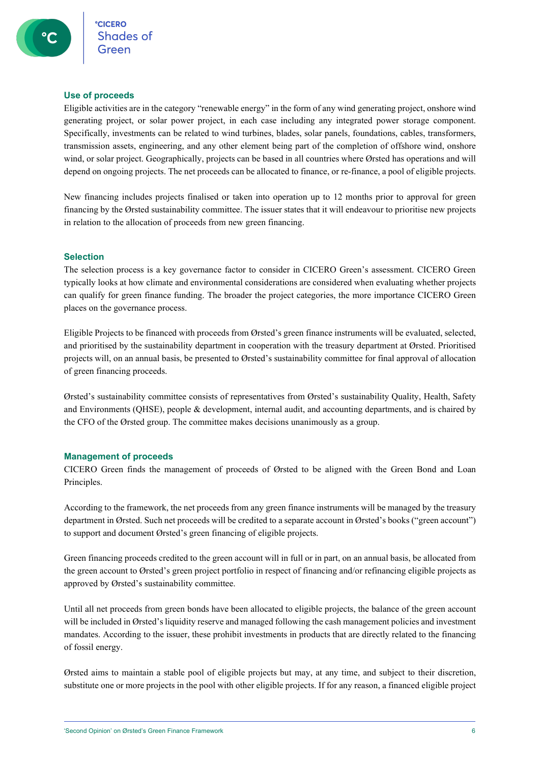#### <span id="page-5-0"></span>**Use of proceeds**

Eligible activities are in the category "renewable energy" in the form of any wind generating project, onshore wind generating project, or solar power project, in each case including any integrated power storage component. Specifically, investments can be related to wind turbines, blades, solar panels, foundations, cables, transformers, transmission assets, engineering, and any other element being part of the completion of offshore wind, onshore wind, or solar project. Geographically, projects can be based in all countries where Ørsted has operations and will depend on ongoing projects. The net proceeds can be allocated to finance, or re-finance, a pool of eligible projects.

New financing includes projects finalised or taken into operation up to 12 months prior to approval for green financing by the Ørsted sustainability committee. The issuer states that it will endeavour to prioritise new projects in relation to the allocation of proceeds from new green financing.

#### <span id="page-5-1"></span>**Selection**

The selection process is a key governance factor to consider in CICERO Green's assessment. CICERO Green typically looks at how climate and environmental considerations are considered when evaluating whether projects can qualify for green finance funding. The broader the project categories, the more importance CICERO Green places on the governance process.

Eligible Projects to be financed with proceeds from Ørsted's green finance instruments will be evaluated, selected, and prioritised by the sustainability department in cooperation with the treasury department at Ørsted. Prioritised projects will, on an annual basis, be presented to Ørsted's sustainability committee for final approval of allocation of green financing proceeds.

Ørsted's sustainability committee consists of representatives from Ørsted's sustainability Quality, Health, Safety and Environments (QHSE), people & development, internal audit, and accounting departments, and is chaired by the CFO of the Ørsted group. The committee makes decisions unanimously as a group.

#### <span id="page-5-2"></span>**Management of proceeds**

CICERO Green finds the management of proceeds of Ørsted to be aligned with the Green Bond and Loan Principles.

According to the framework, the net proceeds from any green finance instruments will be managed by the treasury department in Ørsted. Such net proceeds will be credited to a separate account in Ørsted's books ("green account") to support and document Ørsted's green financing of eligible projects.

Green financing proceeds credited to the green account will in full or in part, on an annual basis, be allocated from the green account to Ørsted's green project portfolio in respect of financing and/or refinancing eligible projects as approved by Ørsted's sustainability committee.

Until all net proceeds from green bonds have been allocated to eligible projects, the balance of the green account will be included in Ørsted's liquidity reserve and managed following the cash management policies and investment mandates. According to the issuer, these prohibit investments in products that are directly related to the financing of fossil energy.

Ørsted aims to maintain a stable pool of eligible projects but may, at any time, and subject to their discretion, substitute one or more projects in the pool with other eligible projects. If for any reason, a financed eligible project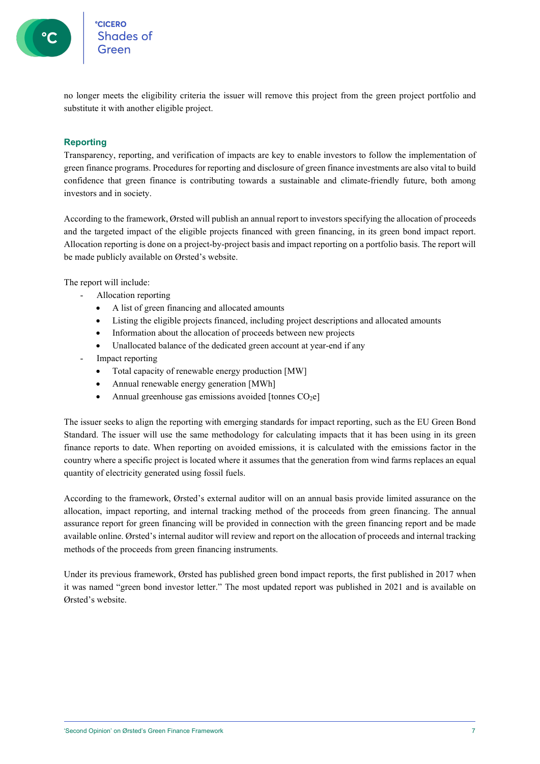

<span id="page-6-0"></span>no longer meets the eligibility criteria the issuer will remove this project from the green project portfolio and substitute it with another eligible project.

#### **Reporting**

Transparency, reporting, and verification of impacts are key to enable investors to follow the implementation of green finance programs. Procedures for reporting and disclosure of green finance investments are also vital to build confidence that green finance is contributing towards a sustainable and climate-friendly future, both among investors and in society.

According to the framework, Ørsted will publish an annual report to investors specifying the allocation of proceeds and the targeted impact of the eligible projects financed with green financing, in its green bond impact report. Allocation reporting is done on a project-by-project basis and impact reporting on a portfolio basis. The report will be made publicly available on Ørsted's website.

The report will include:

- Allocation reporting
	- A list of green financing and allocated amounts
	- Listing the eligible projects financed, including project descriptions and allocated amounts
	- Information about the allocation of proceeds between new projects
	- Unallocated balance of the dedicated green account at year-end if any
- Impact reporting
	- Total capacity of renewable energy production [MW]
	- Annual renewable energy generation [MWh]
	- Annual greenhouse gas emissions avoided [tonnes  $CO<sub>2</sub>e$ ]

The issuer seeks to align the reporting with emerging standards for impact reporting, such as the EU Green Bond Standard. The issuer will use the same methodology for calculating impacts that it has been using in its green finance reports to date. When reporting on avoided emissions, it is calculated with the emissions factor in the country where a specific project is located where it assumes that the generation from wind farms replaces an equal quantity of electricity generated using fossil fuels.

According to the framework, Ørsted's external auditor will on an annual basis provide limited assurance on the allocation, impact reporting, and internal tracking method of the proceeds from green financing. The annual assurance report for green financing will be provided in connection with the green financing report and be made available online. Ørsted's internal auditor will review and report on the allocation of proceeds and internal tracking methods of the proceeds from green financing instruments.

Under its previous framework, Ørsted has published green bond impact reports, the first published in 2017 when it was named "green bond investor letter." The most updated report was published in 2021 and is available on Ørsted's website.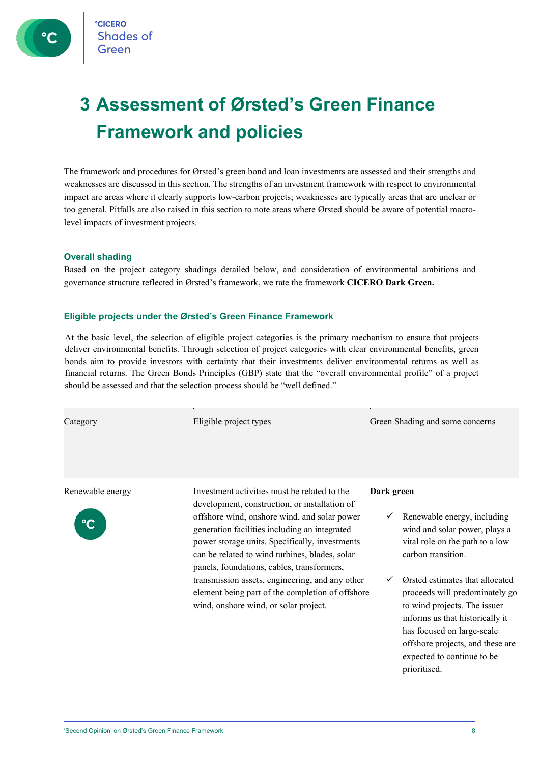**CICERO** Shades of

## <span id="page-7-0"></span>**3 Assessment of Ørsted's Green Finance Framework and policies**

The framework and procedures for Ørsted's green bond and loan investments are assessed and their strengths and weaknesses are discussed in this section. The strengths of an investment framework with respect to environmental impact are areas where it clearly supports low-carbon projects; weaknesses are typically areas that are unclear or too general. Pitfalls are also raised in this section to note areas where Ørsted should be aware of potential macrolevel impacts of investment projects.

#### <span id="page-7-1"></span>**Overall shading**

<span id="page-7-2"></span>Based on the project category shadings detailed below, and consideration of environmental ambitions and governance structure reflected in Ørsted's framework, we rate the framework **CICERO Dark Green.**

#### **Eligible projects under the Ørsted's Green Finance Framework**

At the basic level, the selection of eligible project categories is the primary mechanism to ensure that projects deliver environmental benefits. Through selection of project categories with clear environmental benefits, green bonds aim to provide investors with certainty that their investments deliver environmental returns as well as financial returns. The Green Bonds Principles (GBP) state that the "overall environmental profile" of a project should be assessed and that the selection process should be "well defined."

Category Eligible project types Green Shading and some concerns



Renewable energy Investment activities must be related to the development, construction, or installation of offshore wind, onshore wind, and solar power generation facilities including an integrated power storage units. Specifically, investments can be related to wind turbines, blades, solar panels, foundations, cables, transformers, transmission assets, engineering, and any other element being part of the completion of offshore wind, onshore wind, or solar project.

**Dark green**

- Renewable energy, including wind and solar power, plays a vital role on the path to a low carbon transition.
- Ørsted estimates that allocated proceeds will predominately go to wind projects. The issuer informs us that historically it has focused on large-scale offshore projects, and these are expected to continue to be prioritised.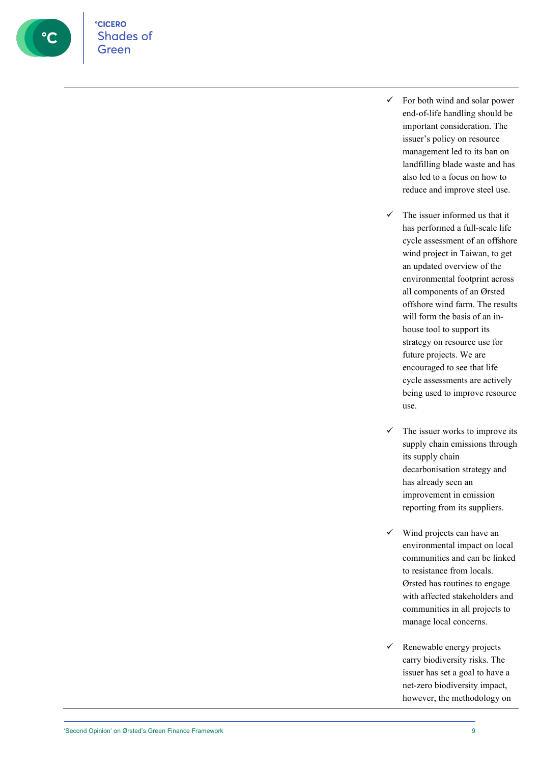

**CICERO** Shades of Green

- $\checkmark$  For both wind and solar power end-of-life handling should be important consideration. The issuer's policy on resource management led to its ban on landfilling blade waste and has also led to a focus on how to reduce and improve steel use.
- $\checkmark$  The issuer informed us that it has performed a full-scale life cycle assessment of an offshore wind project in Taiwan, to get an updated overview of the environmental footprint across all components of an Ørsted offshore wind farm. The results will form the basis of an inhouse tool to support its strategy on resource use for future projects. We are encouraged to see that life cycle assessments are actively being used to improve resource use.
- $\checkmark$  The issuer works to improve its supply chain emissions through its supply chain decarbonisation strategy and has already seen an improvement in emission reporting from its suppliers.
- $\checkmark$  Wind projects can have an environmental impact on local communities and can be linked to resistance from locals. Ørsted has routines to engage with affected stakeholders and communities in all projects to manage local concerns.
- $\checkmark$  Renewable energy projects carry biodiversity risks. The issuer has set a goal to have a net-zero biodiversity impact, however, the methodology on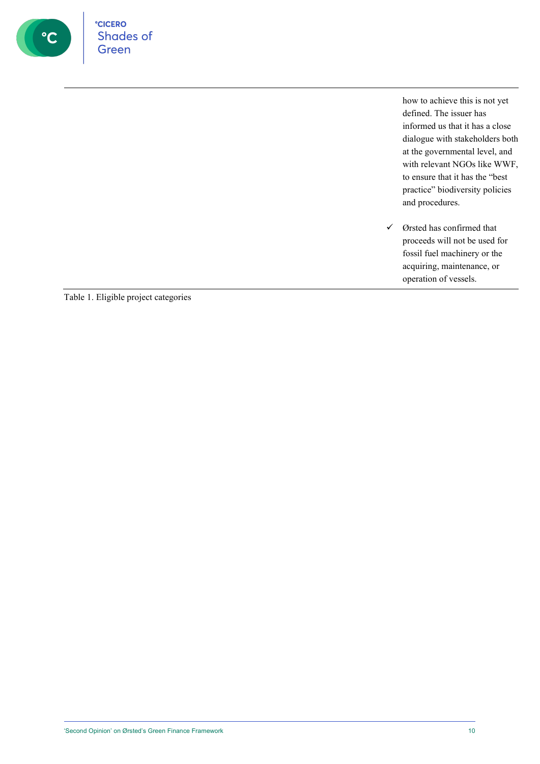

how to achieve this is not yet defined. The issuer has informed us that it has a close dialogue with stakeholders both at the governmental level, and with relevant NGOs like WWF, to ensure that it has the "best practice" biodiversity policies and procedures.

 $\checkmark$  Ørsted has confirmed that proceeds will not be used for fossil fuel machinery or the acquiring, maintenance, or operation of vessels.

Table 1. Eligible project categories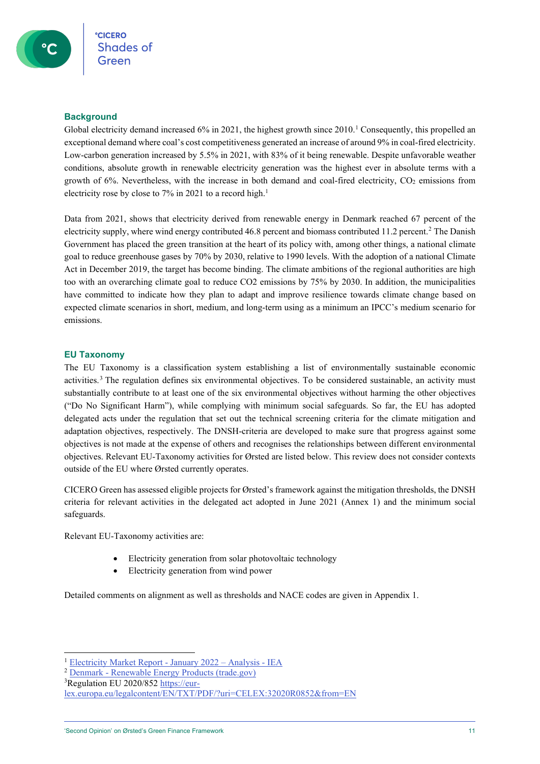#### <span id="page-10-0"></span>**Background**

Global electricity demand increased  $6\%$  in 202[1](#page-10-2), the highest growth since 2010.<sup>1</sup> Consequently, this propelled an exceptional demand where coal's cost competitiveness generated an increase of around 9% in coal-fired electricity. Low-carbon generation increased by 5.5% in 2021, with 83% of it being renewable. Despite unfavorable weather conditions, absolute growth in renewable electricity generation was the highest ever in absolute terms with a growth of 6%. Nevertheless, with the increase in both demand and coal-fired electricity,  $CO<sub>2</sub>$  emissions from electricity rose by close to 7% in 2021 to a record high.<sup>1</sup>

Data from 2021, shows that electricity derived from renewable energy in Denmark reached 67 percent of the electricity supply, where wind energy contributed 46.8 percent and biomass contributed 11.2 percent.[2](#page-10-3) The Danish Government has placed the green transition at the heart of its policy with, among other things, a national climate goal to reduce greenhouse gases by 70% by 2030, relative to 1990 levels. With the adoption of a national Climate Act in December 2019, the target has become binding. The climate ambitions of the regional authorities are high too with an overarching climate goal to reduce CO2 emissions by 75% by 2030. In addition, the municipalities have committed to indicate how they plan to adapt and improve resilience towards climate change based on expected climate scenarios in short, medium, and long-term using as a minimum an IPCC's medium scenario for emissions.

#### <span id="page-10-1"></span>**EU Taxonomy**

The EU Taxonomy is a classification system establishing a list of environmentally sustainable economic activities.[3](#page-10-4) The regulation defines six environmental objectives. To be considered sustainable, an activity must substantially contribute to at least one of the six environmental objectives without harming the other objectives ("Do No Significant Harm"), while complying with minimum social safeguards. So far, the EU has adopted delegated acts under the regulation that set out the technical screening criteria for the climate mitigation and adaptation objectives, respectively. The DNSH-criteria are developed to make sure that progress against some objectives is not made at the expense of others and recognises the relationships between different environmental objectives. Relevant EU-Taxonomy activities for Ørsted are listed below. This review does not consider contexts outside of the EU where Ørsted currently operates.

CICERO Green has assessed eligible projects for Ørsted's framework against the mitigation thresholds, the DNSH criteria for relevant activities in the delegated act adopted in June 2021 (Annex 1) and the minimum social safeguards.

Relevant EU-Taxonomy activities are:

- Electricity generation from solar photovoltaic technology
- Electricity generation from wind power

Detailed comments on alignment as well as thresholds and NACE codes are given in Appendix 1.

<span id="page-10-2"></span><sup>1</sup> [Electricity Market Report -](https://www.iea.org/reports/electricity-market-report-january-2022) January 2022 – Analysis - IEA

<span id="page-10-3"></span><sup>2</sup> Denmark - [Renewable Energy Products \(trade.gov\)](https://www.trade.gov/country-commercial-guides/denmark-renewable-energy-products)

<span id="page-10-4"></span><sup>&</sup>lt;sup>3</sup>Regulation EU 2020/85[2 https://eur-](https://eur-lex.europa.eu/legalcontent/EN/TXT/PDF/?uri=CELEX:32020R0852&from=EN)

[lex.europa.eu/legalcontent/EN/TXT/PDF/?uri=CELEX:32020R0852&from=EN](https://eur-lex.europa.eu/legalcontent/EN/TXT/PDF/?uri=CELEX:32020R0852&from=EN)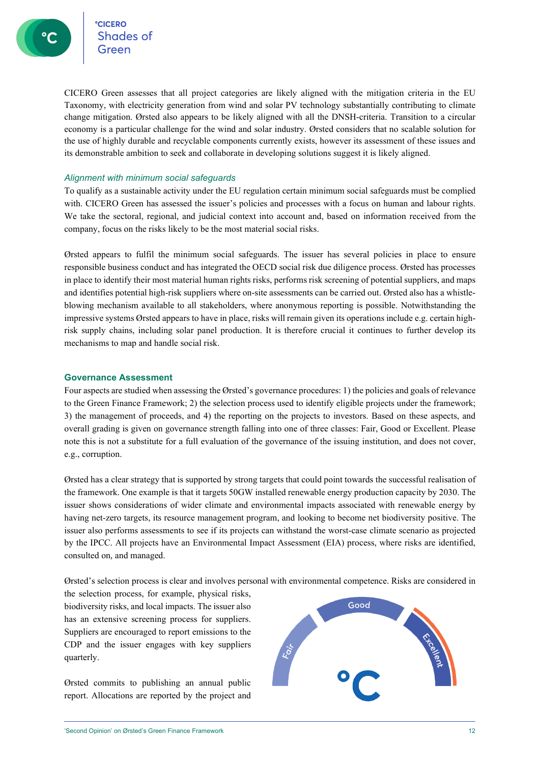CICERO Green assesses that all project categories are likely aligned with the mitigation criteria in the EU Taxonomy, with electricity generation from wind and solar PV technology substantially contributing to climate change mitigation. Ørsted also appears to be likely aligned with all the DNSH-criteria. Transition to a circular economy is a particular challenge for the wind and solar industry. Ørsted considers that no scalable solution for the use of highly durable and recyclable components currently exists, however its assessment of these issues and its demonstrable ambition to seek and collaborate in developing solutions suggest it is likely aligned.

#### <span id="page-11-0"></span>*Alignment with minimum social safeguards*

To qualify as a sustainable activity under the EU regulation certain minimum social safeguards must be complied with. CICERO Green has assessed the issuer's policies and processes with a focus on human and labour rights. We take the sectoral, regional, and judicial context into account and, based on information received from the company, focus on the risks likely to be the most material social risks.

Ørsted appears to fulfil the minimum social safeguards. The issuer has several policies in place to ensure responsible business conduct and has integrated the OECD social risk due diligence process. Ørsted has processes in place to identify their most material human rights risks, performs risk screening of potential suppliers, and maps and identifies potential high-risk suppliers where on-site assessments can be carried out. Ørsted also has a whistleblowing mechanism available to all stakeholders, where anonymous reporting is possible. Notwithstanding the impressive systems Ørsted appears to have in place, risks will remain given its operations include e.g. certain highrisk supply chains, including solar panel production. It is therefore crucial it continues to further develop its mechanisms to map and handle social risk.

#### <span id="page-11-1"></span>**Governance Assessment**

Four aspects are studied when assessing the Ørsted's governance procedures: 1) the policies and goals of relevance to the Green Finance Framework; 2) the selection process used to identify eligible projects under the framework; 3) the management of proceeds, and 4) the reporting on the projects to investors. Based on these aspects, and overall grading is given on governance strength falling into one of three classes: Fair, Good or Excellent. Please note this is not a substitute for a full evaluation of the governance of the issuing institution, and does not cover, e.g., corruption.

Ørsted has a clear strategy that is supported by strong targets that could point towards the successful realisation of the framework. One example is that it targets 50GW installed renewable energy production capacity by 2030. The issuer shows considerations of wider climate and environmental impacts associated with renewable energy by having net-zero targets, its resource management program, and looking to become net biodiversity positive. The issuer also performs assessments to see if its projects can withstand the worst-case climate scenario as projected by the IPCC. All projects have an Environmental Impact Assessment (EIA) process, where risks are identified, consulted on, and managed.

Ørsted's selection process is clear and involves personal with environmental competence. Risks are considered in

the selection process, for example, physical risks, biodiversity risks, and local impacts. The issuer also has an extensive screening process for suppliers. Suppliers are encouraged to report emissions to the CDP and the issuer engages with key suppliers quarterly.

Ørsted commits to publishing an annual public report. Allocations are reported by the project and

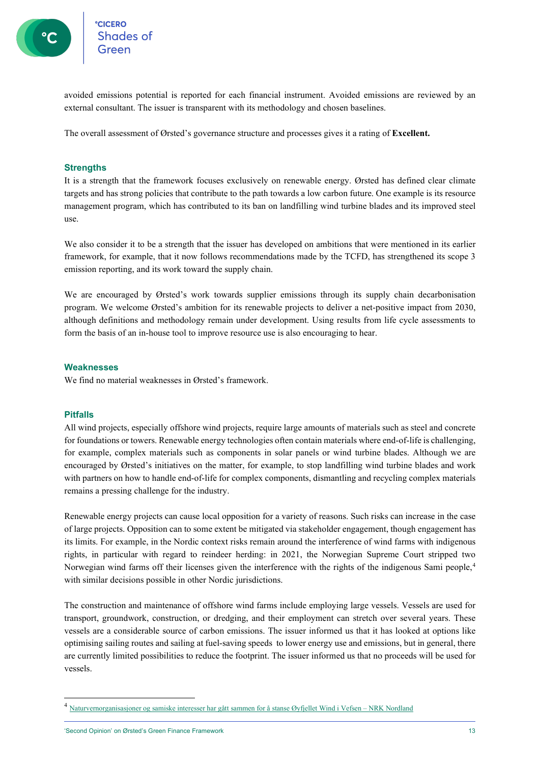

°cic<mark>ero</mark><br>Shades of

avoided emissions potential is reported for each financial instrument. Avoided emissions are reviewed by an external consultant. The issuer is transparent with its methodology and chosen baselines.

<span id="page-12-0"></span>The overall assessment of Ørsted's governance structure and processes gives it a rating of **Excellent.**

#### **Strengths**

It is a strength that the framework focuses exclusively on renewable energy. Ørsted has defined clear climate targets and has strong policies that contribute to the path towards a low carbon future. One example is its resource management program, which has contributed to its ban on landfilling wind turbine blades and its improved steel use.

We also consider it to be a strength that the issuer has developed on ambitions that were mentioned in its earlier framework, for example, that it now follows recommendations made by the TCFD, has strengthened its scope 3 emission reporting, and its work toward the supply chain.

We are encouraged by Ørsted's work towards supplier emissions through its supply chain decarbonisation program. We welcome Ørsted's ambition for its renewable projects to deliver a net-positive impact from 2030, although definitions and methodology remain under development. Using results from life cycle assessments to form the basis of an in-house tool to improve resource use is also encouraging to hear.

#### <span id="page-12-1"></span>**Weaknesses**

<span id="page-12-2"></span>We find no material weaknesses in Ørsted's framework.

#### **Pitfalls**

All wind projects, especially offshore wind projects, require large amounts of materials such as steel and concrete for foundations or towers. Renewable energy technologies often contain materials where end-of-life is challenging, for example, complex materials such as components in solar panels or wind turbine blades. Although we are encouraged by Ørsted's initiatives on the matter, for example, to stop landfilling wind turbine blades and work with partners on how to handle end-of-life for complex components, dismantling and recycling complex materials remains a pressing challenge for the industry.

Renewable energy projects can cause local opposition for a variety of reasons. Such risks can increase in the case of large projects. Opposition can to some extent be mitigated via stakeholder engagement, though engagement has its limits. For example, in the Nordic context risks remain around the interference of wind farms with indigenous rights, in particular with regard to reindeer herding: in 2021, the Norwegian Supreme Court stripped two Norwegian wind farms off their licenses given the interference with the rights of the indigenous Sami people,[4](#page-12-3) with similar decisions possible in other Nordic jurisdictions.

The construction and maintenance of offshore wind farms include employing large vessels. Vessels are used for transport, groundwork, construction, or dredging, and their employment can stretch over several years. These vessels are a considerable source of carbon emissions. The issuer informed us that it has looked at options like optimising sailing routes and sailing at fuel-saving speeds to lower energy use and emissions, but in general, there are currently limited possibilities to reduce the footprint. The issuer informed us that no proceeds will be used for vessels.

<span id="page-12-3"></span><sup>4</sup> [Naturvernorganisasjoner og samiske interesser har gått sammen for å stanse Øyfjellet Wind i Vefsen –](https://www.nrk.no/nordland/naturvernorganisasjoner-og-samiske-interesser-har-gatt-sammen-for-a-stanse-oyfjellet-wind-i-vefsen-1.14990276) NRK Nordland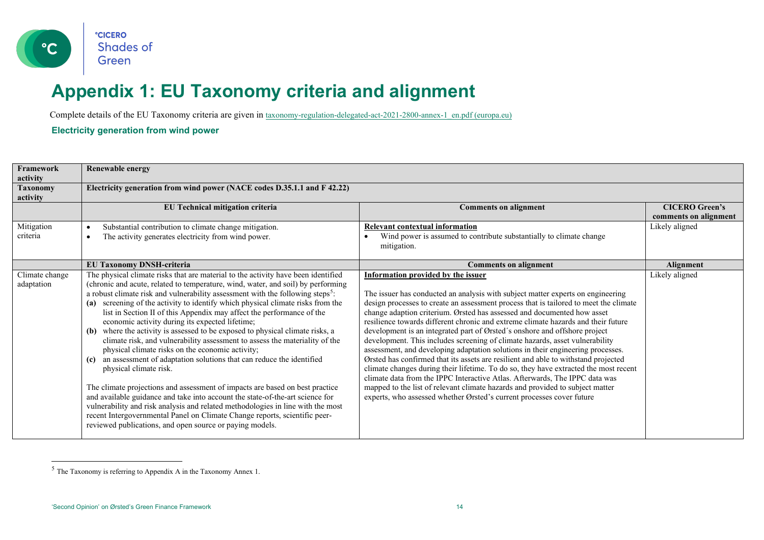

### <span id="page-13-2"></span>**Appendix 1: EU Taxonomy criteria and alignment**

Complete details of the EU Taxonomy criteria are given i[n taxonomy-regulation-delegated-act-2021-2800-annex-1\\_en.pdf \(europa.eu\)](https://ec.europa.eu/finance/docs/level-2-measures/taxonomy-regulation-delegated-act-2021-2800-annex-1_en.pdf)

**Electricity generation from wind power**

<span id="page-13-0"></span>

| Framework<br>activity        | <b>Renewable energy</b>                                                                                                                                                                                                                                                                                                                                                                                                                                                                                                                                                                                                                                                                                                                                                                                                                                                                                                                                                                                                                                                                                                                                                                                       |                                                                                                                                                                                                                                                                                                                                                                                                                                                                                                                                                                                                                                                                                                                                                                                                                                                                                                                                                                                                                                                               |                                                |
|------------------------------|---------------------------------------------------------------------------------------------------------------------------------------------------------------------------------------------------------------------------------------------------------------------------------------------------------------------------------------------------------------------------------------------------------------------------------------------------------------------------------------------------------------------------------------------------------------------------------------------------------------------------------------------------------------------------------------------------------------------------------------------------------------------------------------------------------------------------------------------------------------------------------------------------------------------------------------------------------------------------------------------------------------------------------------------------------------------------------------------------------------------------------------------------------------------------------------------------------------|---------------------------------------------------------------------------------------------------------------------------------------------------------------------------------------------------------------------------------------------------------------------------------------------------------------------------------------------------------------------------------------------------------------------------------------------------------------------------------------------------------------------------------------------------------------------------------------------------------------------------------------------------------------------------------------------------------------------------------------------------------------------------------------------------------------------------------------------------------------------------------------------------------------------------------------------------------------------------------------------------------------------------------------------------------------|------------------------------------------------|
| <b>Taxonomy</b><br>activity  | Electricity generation from wind power (NACE codes D.35.1.1 and F 42.22)                                                                                                                                                                                                                                                                                                                                                                                                                                                                                                                                                                                                                                                                                                                                                                                                                                                                                                                                                                                                                                                                                                                                      |                                                                                                                                                                                                                                                                                                                                                                                                                                                                                                                                                                                                                                                                                                                                                                                                                                                                                                                                                                                                                                                               |                                                |
|                              | EU Technical mitigation criteria                                                                                                                                                                                                                                                                                                                                                                                                                                                                                                                                                                                                                                                                                                                                                                                                                                                                                                                                                                                                                                                                                                                                                                              | <b>Comments on alignment</b>                                                                                                                                                                                                                                                                                                                                                                                                                                                                                                                                                                                                                                                                                                                                                                                                                                                                                                                                                                                                                                  | <b>CICERO Green's</b><br>comments on alignment |
| Mitigation<br>criteria       | Substantial contribution to climate change mitigation.<br>The activity generates electricity from wind power.<br>$\bullet$                                                                                                                                                                                                                                                                                                                                                                                                                                                                                                                                                                                                                                                                                                                                                                                                                                                                                                                                                                                                                                                                                    | <b>Relevant contextual information</b><br>Wind power is assumed to contribute substantially to climate change<br>mitigation.                                                                                                                                                                                                                                                                                                                                                                                                                                                                                                                                                                                                                                                                                                                                                                                                                                                                                                                                  | Likely aligned                                 |
|                              | <b>EU Taxonomy DNSH-criteria</b>                                                                                                                                                                                                                                                                                                                                                                                                                                                                                                                                                                                                                                                                                                                                                                                                                                                                                                                                                                                                                                                                                                                                                                              | <b>Comments on alignment</b>                                                                                                                                                                                                                                                                                                                                                                                                                                                                                                                                                                                                                                                                                                                                                                                                                                                                                                                                                                                                                                  | Alignment                                      |
| Climate change<br>adaptation | The physical climate risks that are material to the activity have been identified<br>(chronic and acute, related to temperature, wind, water, and soil) by performing<br>a robust climate risk and vulnerability assessment with the following steps <sup>5</sup> :<br>(a) screening of the activity to identify which physical climate risks from the<br>list in Section II of this Appendix may affect the performance of the<br>economic activity during its expected lifetime;<br>(b) where the activity is assessed to be exposed to physical climate risks, a<br>climate risk, and vulnerability assessment to assess the materiality of the<br>physical climate risks on the economic activity;<br>an assessment of adaptation solutions that can reduce the identified<br>(c)<br>physical climate risk.<br>The climate projections and assessment of impacts are based on best practice<br>and available guidance and take into account the state-of-the-art science for<br>vulnerability and risk analysis and related methodologies in line with the most<br>recent Intergovernmental Panel on Climate Change reports, scientific peer-<br>reviewed publications, and open source or paying models. | <b>Information provided by the issuer</b><br>The issuer has conducted an analysis with subject matter experts on engineering<br>design processes to create an assessment process that is tailored to meet the climate<br>change adaption criterium. Ørsted has assessed and documented how asset<br>resilience towards different chronic and extreme climate hazards and their future<br>development is an integrated part of Ørsted's onshore and offshore project<br>development. This includes screening of climate hazards, asset vulnerability<br>assessment, and developing adaptation solutions in their engineering processes.<br>Ørsted has confirmed that its assets are resilient and able to withstand projected<br>climate changes during their lifetime. To do so, they have extracted the most recent<br>climate data from the IPPC Interactive Atlas. Afterwards, The IPPC data was<br>mapped to the list of relevant climate hazards and provided to subject matter<br>experts, who assessed whether Ørsted's current processes cover future | Likely aligned                                 |

<span id="page-13-1"></span><sup>5</sup> The Taxonomy is referring to Appendix A in the Taxonomy Annex 1.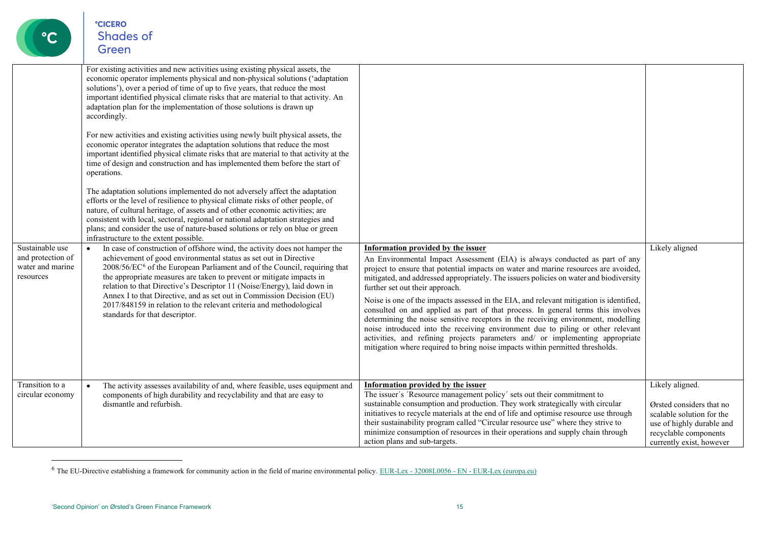<span id="page-14-0"></span>

|                                                                       | For existing activities and new activities using existing physical assets, the<br>economic operator implements physical and non-physical solutions ('adaptation<br>solutions'), over a period of time of up to five years, that reduce the most<br>important identified physical climate risks that are material to that activity. An<br>adaptation plan for the implementation of those solutions is drawn up<br>accordingly.<br>For new activities and existing activities using newly built physical assets, the<br>economic operator integrates the adaptation solutions that reduce the most<br>important identified physical climate risks that are material to that activity at the<br>time of design and construction and has implemented them before the start of<br>operations.<br>The adaptation solutions implemented do not adversely affect the adaptation<br>efforts or the level of resilience to physical climate risks of other people, of<br>nature, of cultural heritage, of assets and of other economic activities; are<br>consistent with local, sectoral, regional or national adaptation strategies and<br>plans; and consider the use of nature-based solutions or rely on blue or green<br>infrastructure to the extent possible. |                                                                                                                                                                                                                                                                                                                                                                                                                                                                                                                                                                                                                                                                                                                                                                                                                                                                |                                                                                                                                                            |
|-----------------------------------------------------------------------|--------------------------------------------------------------------------------------------------------------------------------------------------------------------------------------------------------------------------------------------------------------------------------------------------------------------------------------------------------------------------------------------------------------------------------------------------------------------------------------------------------------------------------------------------------------------------------------------------------------------------------------------------------------------------------------------------------------------------------------------------------------------------------------------------------------------------------------------------------------------------------------------------------------------------------------------------------------------------------------------------------------------------------------------------------------------------------------------------------------------------------------------------------------------------------------------------------------------------------------------------------------|----------------------------------------------------------------------------------------------------------------------------------------------------------------------------------------------------------------------------------------------------------------------------------------------------------------------------------------------------------------------------------------------------------------------------------------------------------------------------------------------------------------------------------------------------------------------------------------------------------------------------------------------------------------------------------------------------------------------------------------------------------------------------------------------------------------------------------------------------------------|------------------------------------------------------------------------------------------------------------------------------------------------------------|
| Sustainable use<br>and protection of<br>water and marine<br>resources | In case of construction of offshore wind, the activity does not hamper the<br>$\bullet$<br>achievement of good environmental status as set out in Directive<br>2008/56/EC <sup>6</sup> of the European Parliament and of the Council, requiring that<br>the appropriate measures are taken to prevent or mitigate impacts in<br>relation to that Directive's Descriptor 11 (Noise/Energy), laid down in<br>Annex I to that Directive, and as set out in Commission Decision (EU)<br>2017/848159 in relation to the relevant criteria and methodological<br>standards for that descriptor.                                                                                                                                                                                                                                                                                                                                                                                                                                                                                                                                                                                                                                                                    | Information provided by the issuer<br>An Environmental Impact Assessment (EIA) is always conducted as part of any<br>project to ensure that potential impacts on water and marine resources are avoided,<br>mitigated, and addressed appropriately. The issuers policies on water and biodiversity<br>further set out their approach.<br>Noise is one of the impacts assessed in the EIA, and relevant mitigation is identified,<br>consulted on and applied as part of that process. In general terms this involves<br>determining the noise sensitive receptors in the receiving environment, modelling<br>noise introduced into the receiving environment due to piling or other relevant<br>activities, and refining projects parameters and/ or implementing appropriate<br>mitigation where required to bring noise impacts within permitted thresholds. | Likely aligned                                                                                                                                             |
| Transition to a<br>circular economy                                   | The activity assesses availability of and, where feasible, uses equipment and<br>$\bullet$<br>components of high durability and recyclability and that are easy to<br>dismantle and refurbish.                                                                                                                                                                                                                                                                                                                                                                                                                                                                                                                                                                                                                                                                                                                                                                                                                                                                                                                                                                                                                                                               | <b>Information provided by the issuer</b><br>The issuer's 'Resource management policy' sets out their commitment to<br>sustainable consumption and production. They work strategically with circular<br>initiatives to recycle materials at the end of life and optimise resource use through<br>their sustainability program called "Circular resource use" where they strive to<br>minimize consumption of resources in their operations and supply chain through<br>action plans and sub-targets.                                                                                                                                                                                                                                                                                                                                                           | Likely aligned.<br>Ørsted considers that no<br>scalable solution for the<br>use of highly durable and<br>recyclable components<br>currently exist, however |

 $6$  The EU-Directive establishing a framework for community action in the field of marine environmental policy. EUR-Lex -  $32008L0056$  - EN - [EUR-Lex \(europa.eu\)](https://eur-lex.europa.eu/legal-content/EN/TXT/?uri=celex%3A32008L0056)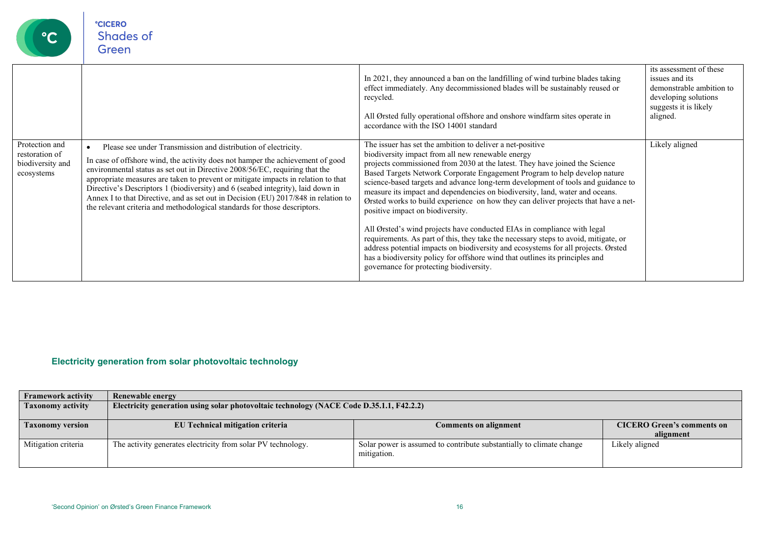| $\rm ^{\circ}C$                                                    | <b>CICERO</b><br><b>Shades of</b><br>Green                                                                                                                                                                                                                                                                                                                                                                                                                                                                                                                                 |                                                                                                                                                                                                                                                                                                                                                                                                                                                                                                                                                                                                                                                                                                                                                                                                                                                                                                                                                            |                                                                                                                                    |
|--------------------------------------------------------------------|----------------------------------------------------------------------------------------------------------------------------------------------------------------------------------------------------------------------------------------------------------------------------------------------------------------------------------------------------------------------------------------------------------------------------------------------------------------------------------------------------------------------------------------------------------------------------|------------------------------------------------------------------------------------------------------------------------------------------------------------------------------------------------------------------------------------------------------------------------------------------------------------------------------------------------------------------------------------------------------------------------------------------------------------------------------------------------------------------------------------------------------------------------------------------------------------------------------------------------------------------------------------------------------------------------------------------------------------------------------------------------------------------------------------------------------------------------------------------------------------------------------------------------------------|------------------------------------------------------------------------------------------------------------------------------------|
|                                                                    |                                                                                                                                                                                                                                                                                                                                                                                                                                                                                                                                                                            | In 2021, they announced a ban on the landfilling of wind turbine blades taking<br>effect immediately. Any decommissioned blades will be sustainably reused or<br>recycled.<br>All Ørsted fully operational offshore and onshore windfarm sites operate in<br>accordance with the ISO 14001 standard                                                                                                                                                                                                                                                                                                                                                                                                                                                                                                                                                                                                                                                        | its assessment of these<br>issues and its<br>demonstrable ambition to<br>developing solutions<br>suggests it is likely<br>aligned. |
| Protection and<br>restoration of<br>biodiversity and<br>ecosystems | Please see under Transmission and distribution of electricity.<br>In case of offshore wind, the activity does not hamper the achievement of good<br>environmental status as set out in Directive 2008/56/EC, requiring that the<br>appropriate measures are taken to prevent or mitigate impacts in relation to that<br>Directive's Descriptors 1 (biodiversity) and 6 (seabed integrity), laid down in<br>Annex I to that Directive, and as set out in Decision (EU) 2017/848 in relation to<br>the relevant criteria and methodological standards for those descriptors. | The issuer has set the ambition to deliver a net-positive<br>biodiversity impact from all new renewable energy<br>projects commissioned from 2030 at the latest. They have joined the Science<br>Based Targets Network Corporate Engagement Program to help develop nature<br>science-based targets and advance long-term development of tools and guidance to<br>measure its impact and dependencies on biodiversity, land, water and oceans.<br>Orsted works to build experience on how they can deliver projects that have a net-<br>positive impact on biodiversity.<br>All Ørsted's wind projects have conducted EIAs in compliance with legal<br>requirements. As part of this, they take the necessary steps to avoid, mitigate, or<br>address potential impacts on biodiversity and ecosystems for all projects. Ørsted<br>has a biodiversity policy for offshore wind that outlines its principles and<br>governance for protecting biodiversity. | Likely aligned                                                                                                                     |

#### **Electricity generation from solar photovoltaic technology**

<span id="page-15-0"></span>

| <b>Framework activity</b> | Renewable energy                                                                         |                                                                                     |                                   |
|---------------------------|------------------------------------------------------------------------------------------|-------------------------------------------------------------------------------------|-----------------------------------|
| <b>Taxonomy activity</b>  | Electricity generation using solar photovoltaic technology (NACE Code D.35.1.1, F42.2.2) |                                                                                     |                                   |
| <b>Taxonomy version</b>   | EU Technical mitigation criteria                                                         | <b>Comments on alignment</b>                                                        | <b>CICERO Green's comments on</b> |
|                           |                                                                                          |                                                                                     | alignment                         |
| Mitigation criteria       | The activity generates electricity from solar PV technology.                             | Solar power is assumed to contribute substantially to climate change<br>mitigation. | Likely aligned                    |

**°CICERO**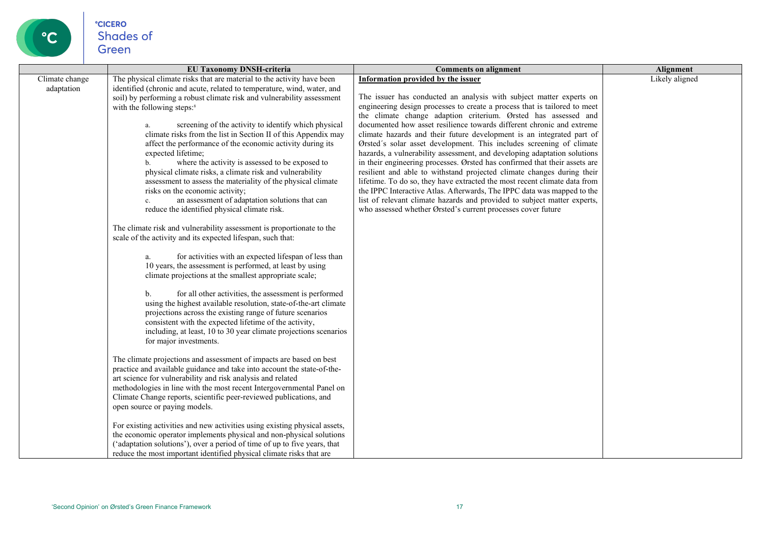

|                              | <b>EU Taxonomy DNSH-criteria</b>                                                                                                                                                                                                                                                                                                                                                                                                                                                                                                                                                                                                                                                                                                                                                                                                                                                                                                                                                                                                                                                                                                                                                                                                                                                                                                                                                                                                                                                                                                                                                                                                                                                                                                                                                                                                                                                                                                                                                                                                                                                                                                                                                                                                                   | <b>Comments on alignment</b>                                                                                                                                                                                                                                                                                                                                                                                                                                                                                                                                                                                                                                                                                                                                                                                                                                                                                                                                                                                               | Alignment      |
|------------------------------|----------------------------------------------------------------------------------------------------------------------------------------------------------------------------------------------------------------------------------------------------------------------------------------------------------------------------------------------------------------------------------------------------------------------------------------------------------------------------------------------------------------------------------------------------------------------------------------------------------------------------------------------------------------------------------------------------------------------------------------------------------------------------------------------------------------------------------------------------------------------------------------------------------------------------------------------------------------------------------------------------------------------------------------------------------------------------------------------------------------------------------------------------------------------------------------------------------------------------------------------------------------------------------------------------------------------------------------------------------------------------------------------------------------------------------------------------------------------------------------------------------------------------------------------------------------------------------------------------------------------------------------------------------------------------------------------------------------------------------------------------------------------------------------------------------------------------------------------------------------------------------------------------------------------------------------------------------------------------------------------------------------------------------------------------------------------------------------------------------------------------------------------------------------------------------------------------------------------------------------------------|----------------------------------------------------------------------------------------------------------------------------------------------------------------------------------------------------------------------------------------------------------------------------------------------------------------------------------------------------------------------------------------------------------------------------------------------------------------------------------------------------------------------------------------------------------------------------------------------------------------------------------------------------------------------------------------------------------------------------------------------------------------------------------------------------------------------------------------------------------------------------------------------------------------------------------------------------------------------------------------------------------------------------|----------------|
| Climate change<br>adaptation | The physical climate risks that are material to the activity have been<br>identified (chronic and acute, related to temperature, wind, water, and<br>soil) by performing a robust climate risk and vulnerability assessment<br>with the following steps: <sup>8</sup><br>screening of the activity to identify which physical<br>а.<br>climate risks from the list in Section II of this Appendix may<br>affect the performance of the economic activity during its<br>expected lifetime;<br>where the activity is assessed to be exposed to<br>$\mathbf{b}$ .<br>physical climate risks, a climate risk and vulnerability<br>assessment to assess the materiality of the physical climate<br>risks on the economic activity;<br>an assessment of adaptation solutions that can<br>$\mathbf{c}$ .<br>reduce the identified physical climate risk.<br>The climate risk and vulnerability assessment is proportionate to the<br>scale of the activity and its expected lifespan, such that:<br>for activities with an expected lifespan of less than<br>a.<br>10 years, the assessment is performed, at least by using<br>climate projections at the smallest appropriate scale;<br>for all other activities, the assessment is performed<br>b.<br>using the highest available resolution, state-of-the-art climate<br>projections across the existing range of future scenarios<br>consistent with the expected lifetime of the activity,<br>including, at least, 10 to 30 year climate projections scenarios<br>for major investments.<br>The climate projections and assessment of impacts are based on best<br>practice and available guidance and take into account the state-of-the-<br>art science for vulnerability and risk analysis and related<br>methodologies in line with the most recent Intergovernmental Panel on<br>Climate Change reports, scientific peer-reviewed publications, and<br>open source or paying models.<br>For existing activities and new activities using existing physical assets,<br>the economic operator implements physical and non-physical solutions<br>('adaptation solutions'), over a period of time of up to five years, that<br>reduce the most important identified physical climate risks that are | Information provided by the issuer<br>The issuer has conducted an analysis with subject matter experts on<br>engineering design processes to create a process that is tailored to meet<br>the climate change adaption criterium. Ørsted has assessed and<br>documented how asset resilience towards different chronic and extreme<br>climate hazards and their future development is an integrated part of<br>Ørsted's solar asset development. This includes screening of climate<br>hazards, a vulnerability assessment, and developing adaptation solutions<br>in their engineering processes. Ørsted has confirmed that their assets are<br>resilient and able to withstand projected climate changes during their<br>lifetime. To do so, they have extracted the most recent climate data from<br>the IPPC Interactive Atlas. Afterwards, The IPPC data was mapped to the<br>list of relevant climate hazards and provided to subject matter experts,<br>who assessed whether Ørsted's current processes cover future | Likely aligned |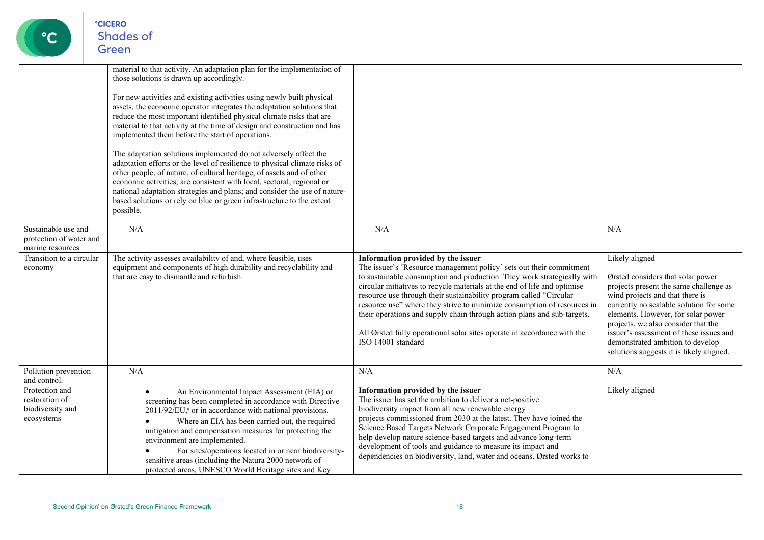

|                                                                    | material to that activity. An adaptation plan for the implementation of<br>those solutions is drawn up accordingly.<br>For new activities and existing activities using newly built physical<br>assets, the economic operator integrates the adaptation solutions that<br>reduce the most important identified physical climate risks that are<br>material to that activity at the time of design and construction and has<br>implemented them before the start of operations.<br>The adaptation solutions implemented do not adversely affect the<br>adaptation efforts or the level of resilience to physical climate risks of<br>other people, of nature, of cultural heritage, of assets and of other<br>economic activities; are consistent with local, sectoral, regional or<br>national adaptation strategies and plans; and consider the use of nature-<br>based solutions or rely on blue or green infrastructure to the extent<br>possible. |                                                                                                                                                                                                                                                                                                                                                                                                                                                                                                                                                                                                       |                                                                                                                                                                                                                                                                                                                                                                                     |
|--------------------------------------------------------------------|-------------------------------------------------------------------------------------------------------------------------------------------------------------------------------------------------------------------------------------------------------------------------------------------------------------------------------------------------------------------------------------------------------------------------------------------------------------------------------------------------------------------------------------------------------------------------------------------------------------------------------------------------------------------------------------------------------------------------------------------------------------------------------------------------------------------------------------------------------------------------------------------------------------------------------------------------------|-------------------------------------------------------------------------------------------------------------------------------------------------------------------------------------------------------------------------------------------------------------------------------------------------------------------------------------------------------------------------------------------------------------------------------------------------------------------------------------------------------------------------------------------------------------------------------------------------------|-------------------------------------------------------------------------------------------------------------------------------------------------------------------------------------------------------------------------------------------------------------------------------------------------------------------------------------------------------------------------------------|
| Sustainable use and<br>protection of water and<br>marine resources | N/A                                                                                                                                                                                                                                                                                                                                                                                                                                                                                                                                                                                                                                                                                                                                                                                                                                                                                                                                                   | N/A                                                                                                                                                                                                                                                                                                                                                                                                                                                                                                                                                                                                   | N/A                                                                                                                                                                                                                                                                                                                                                                                 |
| Transition to a circular<br>economy                                | The activity assesses availability of and, where feasible, uses<br>equipment and components of high durability and recyclability and<br>that are easy to dismantle and refurbish.                                                                                                                                                                                                                                                                                                                                                                                                                                                                                                                                                                                                                                                                                                                                                                     | <b>Information provided by the issuer</b><br>The issuer's 'Resource management policy' sets out their commitment<br>to sustainable consumption and production. They work strategically with<br>circular initiatives to recycle materials at the end of life and optimise<br>resource use through their sustainability program called "Circular<br>resource use" where they strive to minimize consumption of resources in<br>their operations and supply chain through action plans and sub-targets.<br>All Ørsted fully operational solar sites operate in accordance with the<br>ISO 14001 standard | Likely aligned<br>Ørsted considers that solar power<br>projects present the same challenge as<br>wind projects and that there is<br>currently no scalable solution for some<br>elements. However, for solar power<br>projects, we also consider that the<br>issuer's assessment of these issues and<br>demonstrated ambition to develop<br>solutions suggests it is likely aligned. |
| Pollution prevention<br>and control.                               | N/A                                                                                                                                                                                                                                                                                                                                                                                                                                                                                                                                                                                                                                                                                                                                                                                                                                                                                                                                                   | N/A                                                                                                                                                                                                                                                                                                                                                                                                                                                                                                                                                                                                   | N/A                                                                                                                                                                                                                                                                                                                                                                                 |
| Protection and<br>restoration of<br>biodiversity and<br>ecosystems | An Environmental Impact Assessment (EIA) or<br>$\bullet$<br>screening has been completed in accordance with Directive<br>2011/92/EU, <sup>9</sup> or in accordance with national provisions.<br>Where an EIA has been carried out, the required<br>mitigation and compensation measures for protecting the<br>environment are implemented.<br>For sites/operations located in or near biodiversity-<br>sensitive areas (including the Natura 2000 network of<br>protected areas, UNESCO World Heritage sites and Key                                                                                                                                                                                                                                                                                                                                                                                                                                  | Information provided by the issuer<br>The issuer has set the ambition to deliver a net-positive<br>biodiversity impact from all new renewable energy<br>projects commissioned from 2030 at the latest. They have joined the<br>Science Based Targets Network Corporate Engagement Program to<br>help develop nature science-based targets and advance long-term<br>development of tools and guidance to measure its impact and<br>dependencies on biodiversity, land, water and oceans. Ørsted works to                                                                                               | Likely aligned                                                                                                                                                                                                                                                                                                                                                                      |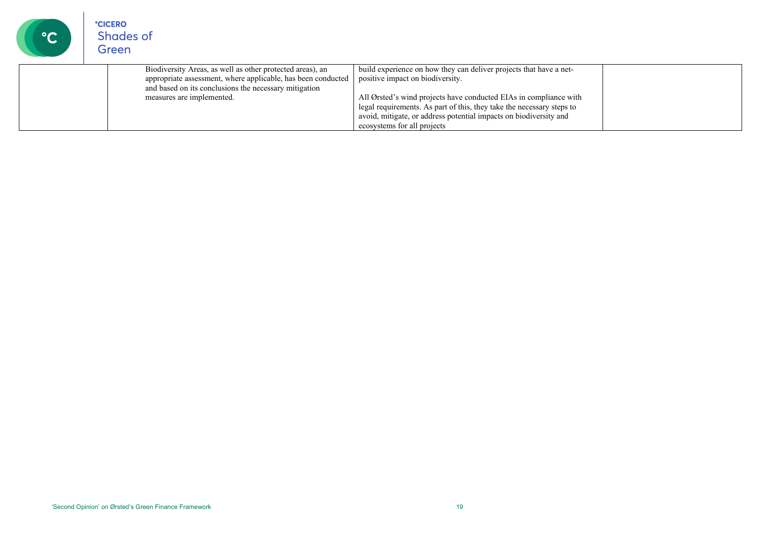| $\mathbf{C}$ | <b>CICERO</b><br>Shades of<br>Green                                                                                                                                                                             |                                                                                                                                                                                                                                                                                                                                                          |  |
|--------------|-----------------------------------------------------------------------------------------------------------------------------------------------------------------------------------------------------------------|----------------------------------------------------------------------------------------------------------------------------------------------------------------------------------------------------------------------------------------------------------------------------------------------------------------------------------------------------------|--|
|              | Biodiversity Areas, as well as other protected areas), an<br>appropriate assessment, where applicable, has been conducted<br>and based on its conclusions the necessary mitigation<br>measures are implemented. | build experience on how they can deliver projects that have a net-<br>positive impact on biodiversity.<br>All Ørsted's wind projects have conducted EIAs in compliance with<br>legal requirements. As part of this, they take the necessary steps to<br>avoid, mitigate, or address potential impacts on biodiversity and<br>ecosystems for all projects |  |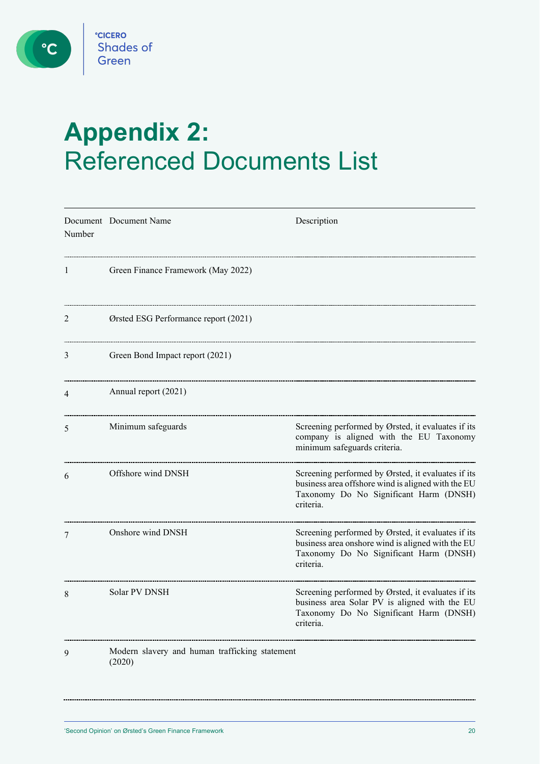$\bigcirc$ 

# <span id="page-19-0"></span>**Appendix 2:**  Referenced Documents List

| Number | Document Document Name                                   | Description                                                                                                                                                     |
|--------|----------------------------------------------------------|-----------------------------------------------------------------------------------------------------------------------------------------------------------------|
| 1      | Green Finance Framework (May 2022)                       |                                                                                                                                                                 |
| 2      | Ørsted ESG Performance report (2021)                     |                                                                                                                                                                 |
| 3      | Green Bond Impact report (2021)                          |                                                                                                                                                                 |
| 4      | Annual report (2021)                                     |                                                                                                                                                                 |
| 5      | Minimum safeguards                                       | Screening performed by Ørsted, it evaluates if its<br>company is aligned with the EU Taxonomy<br>minimum safeguards criteria.                                   |
| 6      | Offshore wind DNSH                                       | Screening performed by Ørsted, it evaluates if its<br>business area offshore wind is aligned with the EU<br>Taxonomy Do No Significant Harm (DNSH)<br>criteria. |
| 7      | Onshore wind DNSH                                        | Screening performed by Ørsted, it evaluates if its<br>business area onshore wind is aligned with the EU<br>Taxonomy Do No Significant Harm (DNSH)<br>criteria.  |
| 8      | Solar PV DNSH                                            | Screening performed by Ørsted, it evaluates if its<br>business area Solar PV is aligned with the EU<br>Taxonomy Do No Significant Harm (DNSH)<br>criteria.      |
| 9      | Modern slavery and human trafficking statement<br>(2020) |                                                                                                                                                                 |